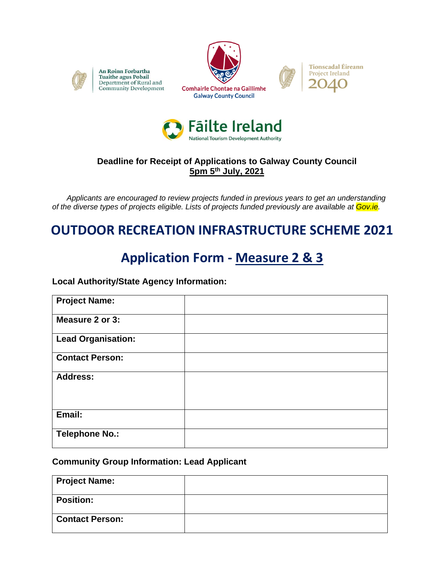

An Roinn Forbartha Tuaithe agus Pobail Department of Rural and Community Development







### **Deadline for Receipt of Applications to Galway County Council 5pm 5th July, 2021**

 *Applicants are encouraged to review projects funded in previous years to get an understanding of the diverse types of projects eligible. Lists of projects funded previously are available at Gov.ie.* 

# **OUTDOOR RECREATION INFRASTRUCTURE SCHEME 2021**

# **Application Form - Measure 2 & 3**

#### **Local Authority/State Agency Information:**

| <b>Project Name:</b>      |  |
|---------------------------|--|
| Measure 2 or 3:           |  |
| <b>Lead Organisation:</b> |  |
| <b>Contact Person:</b>    |  |
| <b>Address:</b>           |  |
|                           |  |
| Email:                    |  |
| <b>Telephone No.:</b>     |  |

#### **Community Group Information: Lead Applicant**

| <b>Project Name:</b>   |  |
|------------------------|--|
| <b>Position:</b>       |  |
| <b>Contact Person:</b> |  |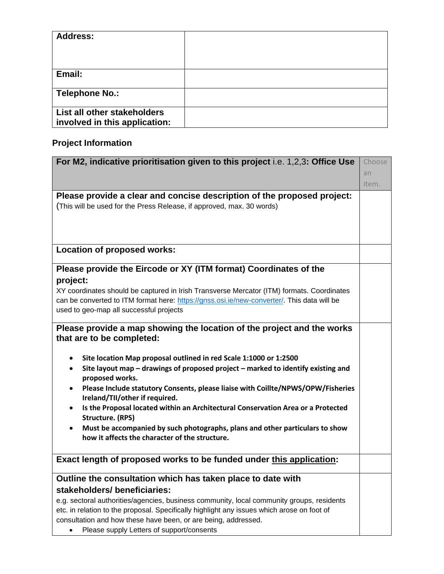| <b>Address:</b>                                              |  |
|--------------------------------------------------------------|--|
|                                                              |  |
|                                                              |  |
| Email:                                                       |  |
| <b>Telephone No.:</b>                                        |  |
| List all other stakeholders<br>involved in this application: |  |

## **Project Information**

| For M2, indicative prioritisation given to this project i.e. 1,2,3: Office Use                                   | Choose |
|------------------------------------------------------------------------------------------------------------------|--------|
|                                                                                                                  | an     |
|                                                                                                                  | item.  |
| Please provide a clear and concise description of the proposed project:                                          |        |
| (This will be used for the Press Release, if approved, max. 30 words)                                            |        |
|                                                                                                                  |        |
|                                                                                                                  |        |
| <b>Location of proposed works:</b>                                                                               |        |
|                                                                                                                  |        |
| Please provide the Eircode or XY (ITM format) Coordinates of the                                                 |        |
| project:                                                                                                         |        |
| XY coordinates should be captured in Irish Transverse Mercator (ITM) formats. Coordinates                        |        |
| can be converted to ITM format here: https://gnss.osi.ie/new-converter/. This data will be                       |        |
| used to geo-map all successful projects                                                                          |        |
| Please provide a map showing the location of the project and the works                                           |        |
| that are to be completed:                                                                                        |        |
|                                                                                                                  |        |
| Site location Map proposal outlined in red Scale 1:1000 or 1:2500<br>$\bullet$                                   |        |
| Site layout map - drawings of proposed project - marked to identify existing and<br>$\bullet$<br>proposed works. |        |
| Please Include statutory Consents, please liaise with Coillte/NPWS/OPW/Fisheries<br>٠                            |        |
| Ireland/TII/other if required.                                                                                   |        |
| Is the Proposal located within an Architectural Conservation Area or a Protected                                 |        |
| <b>Structure. (RPS)</b>                                                                                          |        |
| Must be accompanied by such photographs, plans and other particulars to show                                     |        |
| how it affects the character of the structure.                                                                   |        |
| Exact length of proposed works to be funded under this application:                                              |        |
|                                                                                                                  |        |
| Outline the consultation which has taken place to date with                                                      |        |
| stakeholders/beneficiaries:                                                                                      |        |
| e.g. sectoral authorities/agencies, business community, local community groups, residents                        |        |
| etc. in relation to the proposal. Specifically highlight any issues which arose on foot of                       |        |
| consultation and how these have been, or are being, addressed.                                                   |        |

• Please supply Letters of support/consents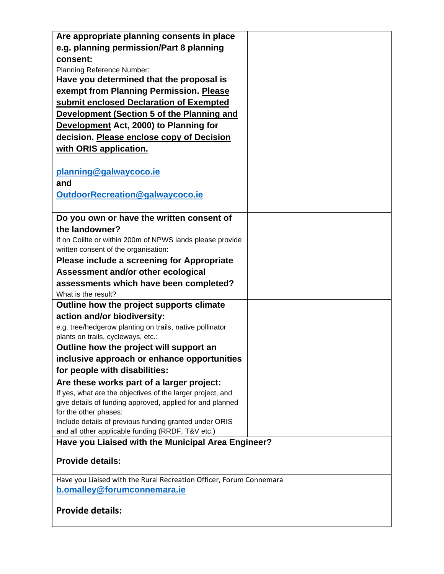| Are appropriate planning consents in place                                                                              |  |
|-------------------------------------------------------------------------------------------------------------------------|--|
| e.g. planning permission/Part 8 planning                                                                                |  |
| consent:                                                                                                                |  |
| Planning Reference Number:                                                                                              |  |
| Have you determined that the proposal is                                                                                |  |
| exempt from Planning Permission. Please                                                                                 |  |
| submit enclosed Declaration of Exempted                                                                                 |  |
| Development (Section 5 of the Planning and                                                                              |  |
| Development Act, 2000) to Planning for                                                                                  |  |
| decision. Please enclose copy of Decision                                                                               |  |
| with ORIS application.                                                                                                  |  |
|                                                                                                                         |  |
| planning@galwaycoco.ie                                                                                                  |  |
| and                                                                                                                     |  |
| OutdoorRecreation@galwaycoco.ie                                                                                         |  |
|                                                                                                                         |  |
| Do you own or have the written consent of                                                                               |  |
| the landowner?                                                                                                          |  |
| If on Coillte or within 200m of NPWS lands please provide                                                               |  |
| written consent of the organisation:                                                                                    |  |
| Please include a screening for Appropriate                                                                              |  |
| Assessment and/or other ecological                                                                                      |  |
| assessments which have been completed?                                                                                  |  |
| What is the result?                                                                                                     |  |
| Outline how the project supports climate                                                                                |  |
| action and/or biodiversity:                                                                                             |  |
| e.g. tree/hedgerow planting on trails, native pollinator                                                                |  |
| plants on trails, cycleways, etc.:                                                                                      |  |
| Outline how the project will support an                                                                                 |  |
| inclusive approach or enhance opportunities                                                                             |  |
| for people with disabilities:                                                                                           |  |
| Are these works part of a larger project:                                                                               |  |
| If yes, what are the objectives of the larger project, and<br>give details of funding approved, applied for and planned |  |
| for the other phases:                                                                                                   |  |
| Include details of previous funding granted under ORIS                                                                  |  |
| and all other applicable funding (RRDF, T&V etc.)                                                                       |  |
| Have you Liaised with the Municipal Area Engineer?                                                                      |  |
| <b>Provide details:</b>                                                                                                 |  |
|                                                                                                                         |  |
| Have you Liaised with the Rural Recreation Officer, Forum Connemara<br>b.omalley@forumconnemara.ie                      |  |
|                                                                                                                         |  |
| <b>Provide details:</b>                                                                                                 |  |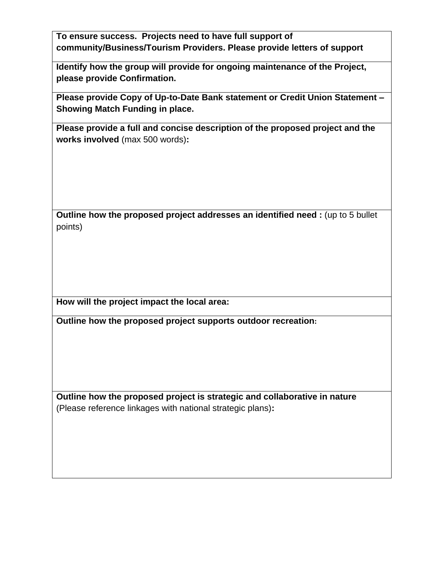**To ensure success. Projects need to have full support of community/Business/Tourism Providers. Please provide letters of support**

**Identify how the group will provide for ongoing maintenance of the Project, please provide Confirmation.**

**Please provide Copy of Up-to-Date Bank statement or Credit Union Statement – Showing Match Funding in place.**

**Please provide a full and concise description of the proposed project and the works involved** (max 500 words)**:** 

**Outline how the proposed project addresses an identified need :** (up to 5 bullet points)

**How will the project impact the local area:**

**Outline how the proposed project supports outdoor recreation:**

**Outline how the proposed project is strategic and collaborative in nature**  (Please reference linkages with national strategic plans)**:**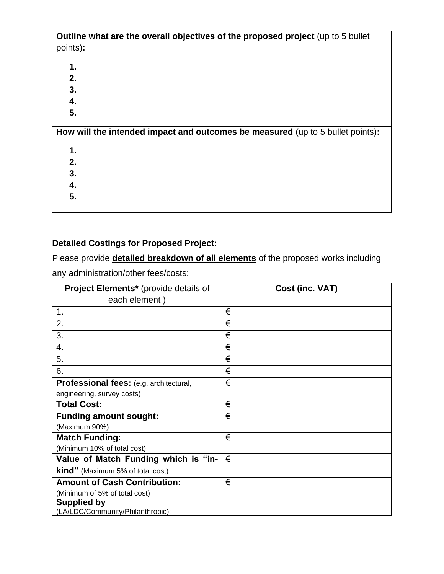| Outline what are the overall objectives of the proposed project (up to 5 bullet |
|---------------------------------------------------------------------------------|
| points):                                                                        |
|                                                                                 |
| 1.                                                                              |
| 2.                                                                              |
| 3.                                                                              |
| 4.                                                                              |
| 5.                                                                              |
| How will the intended impact and outcomes be measured (up to 5 bullet points):  |
|                                                                                 |
| 1.                                                                              |
| 2.                                                                              |
| 3.                                                                              |
| 4.                                                                              |
| 5.                                                                              |
|                                                                                 |
|                                                                                 |

## **Detailed Costings for Proposed Project:**

Please provide **detailed breakdown of all elements** of the proposed works including any administration/other fees/costs:

| Project Elements* (provide details of          | Cost (inc. VAT) |
|------------------------------------------------|-----------------|
| each element)                                  |                 |
| 1.                                             | €               |
| 2.                                             | €               |
| 3.                                             | €               |
| 4.                                             | €               |
| 5.                                             | €               |
| 6.                                             | €               |
| <b>Professional fees:</b> (e.g. architectural, | €               |
| engineering, survey costs)                     |                 |
| <b>Total Cost:</b>                             | €               |
| <b>Funding amount sought:</b>                  | €               |
| (Maximum 90%)                                  |                 |
| <b>Match Funding:</b>                          | €               |
| (Minimum 10% of total cost)                    |                 |
| Value of Match Funding which is "in-           | €               |
| <b>kind</b> " (Maximum 5% of total cost)       |                 |
| <b>Amount of Cash Contribution:</b>            | €               |
| (Minimum of 5% of total cost)                  |                 |
| <b>Supplied by</b>                             |                 |
| (LA/LDC/Community/Philanthropic):              |                 |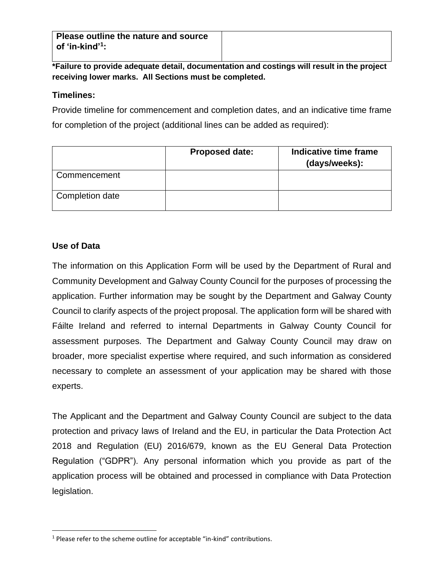**Please outline the nature and source of 'in-kind'<sup>1</sup> :** 

**\*Failure to provide adequate detail, documentation and costings will result in the project receiving lower marks. All Sections must be completed.**

#### **Timelines:**

Provide timeline for commencement and completion dates, and an indicative time frame for completion of the project (additional lines can be added as required):

|                 | <b>Proposed date:</b> | Indicative time frame<br>(days/weeks): |
|-----------------|-----------------------|----------------------------------------|
| Commencement    |                       |                                        |
| Completion date |                       |                                        |

### **Use of Data**

The information on this Application Form will be used by the Department of Rural and Community Development and Galway County Council for the purposes of processing the application. Further information may be sought by the Department and Galway County Council to clarify aspects of the project proposal. The application form will be shared with Fáilte Ireland and referred to internal Departments in Galway County Council for assessment purposes. The Department and Galway County Council may draw on broader, more specialist expertise where required, and such information as considered necessary to complete an assessment of your application may be shared with those experts.

The Applicant and the Department and Galway County Council are subject to the data protection and privacy laws of Ireland and the EU, in particular the Data Protection Act 2018 and Regulation (EU) 2016/679, known as the EU General Data Protection Regulation ("GDPR"). Any personal information which you provide as part of the application process will be obtained and processed in compliance with Data Protection legislation.

<sup>&</sup>lt;sup>1</sup> Please refer to the scheme outline for acceptable "in-kind" contributions.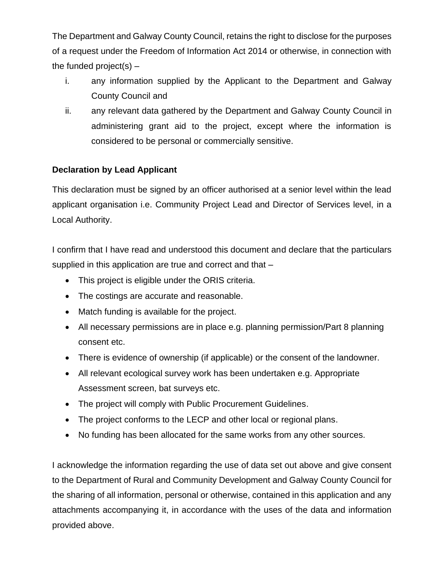The Department and Galway County Council, retains the right to disclose for the purposes of a request under the Freedom of Information Act 2014 or otherwise, in connection with the funded project(s)  $-$ 

- i. any information supplied by the Applicant to the Department and Galway County Council and
- ii. any relevant data gathered by the Department and Galway County Council in administering grant aid to the project, except where the information is considered to be personal or commercially sensitive.

## **Declaration by Lead Applicant**

This declaration must be signed by an officer authorised at a senior level within the lead applicant organisation i.e. Community Project Lead and Director of Services level, in a Local Authority.

I confirm that I have read and understood this document and declare that the particulars supplied in this application are true and correct and that –

- This project is eligible under the ORIS criteria.
- The costings are accurate and reasonable.
- Match funding is available for the project.
- All necessary permissions are in place e.g. planning permission/Part 8 planning consent etc.
- There is evidence of ownership (if applicable) or the consent of the landowner.
- All relevant ecological survey work has been undertaken e.g. Appropriate Assessment screen, bat surveys etc.
- The project will comply with Public Procurement Guidelines.
- The project conforms to the LECP and other local or regional plans.
- No funding has been allocated for the same works from any other sources.

I acknowledge the information regarding the use of data set out above and give consent to the Department of Rural and Community Development and Galway County Council for the sharing of all information, personal or otherwise, contained in this application and any attachments accompanying it, in accordance with the uses of the data and information provided above.